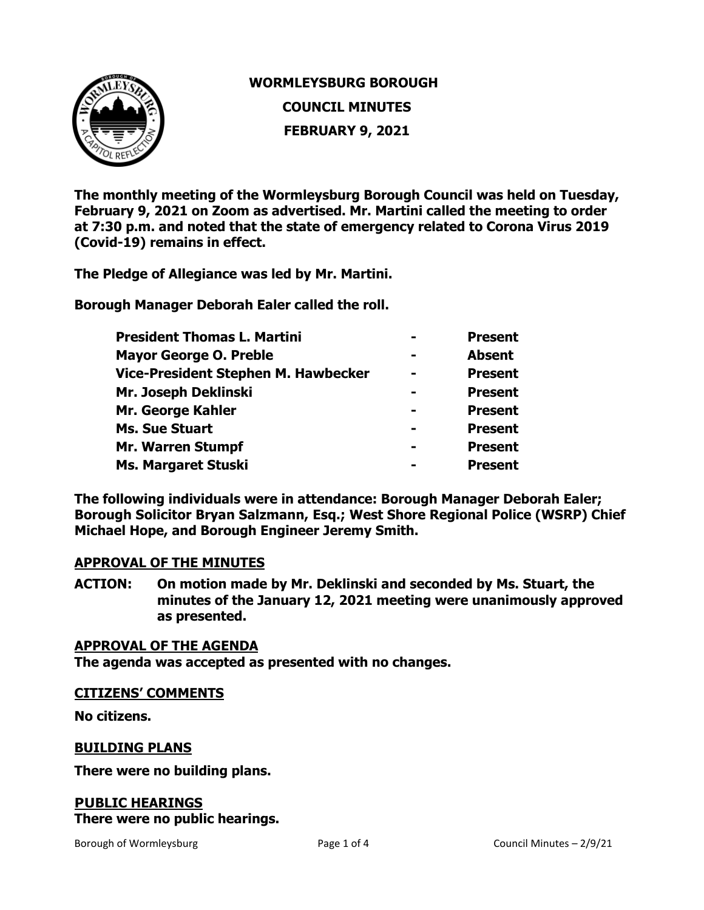

# **WORMLEYSBURG BOROUGH COUNCIL MINUTES**

**FEBRUARY 9, 2021**

**The monthly meeting of the Wormleysburg Borough Council was held on Tuesday, February 9, 2021 on Zoom as advertised. Mr. Martini called the meeting to order at 7:30 p.m. and noted that the state of emergency related to Corona Virus 2019 (Covid-19) remains in effect.**

**The Pledge of Allegiance was led by Mr. Martini.** 

**Borough Manager Deborah Ealer called the roll.** 

| <b>President Thomas L. Martini</b>  | <b>Present</b> |
|-------------------------------------|----------------|
| <b>Mayor George O. Preble</b>       | <b>Absent</b>  |
| Vice-President Stephen M. Hawbecker | <b>Present</b> |
| Mr. Joseph Deklinski                | <b>Present</b> |
| Mr. George Kahler                   | <b>Present</b> |
| <b>Ms. Sue Stuart</b>               | <b>Present</b> |
| <b>Mr. Warren Stumpf</b>            | <b>Present</b> |
| Ms. Margaret Stuski                 | <b>Present</b> |
|                                     |                |

**The following individuals were in attendance: Borough Manager Deborah Ealer; Borough Solicitor Bryan Salzmann, Esq.; West Shore Regional Police (WSRP) Chief Michael Hope, and Borough Engineer Jeremy Smith.** 

# **APPROVAL OF THE MINUTES**

**ACTION: On motion made by Mr. Deklinski and seconded by Ms. Stuart, the minutes of the January 12, 2021 meeting were unanimously approved as presented.** 

# **APPROVAL OF THE AGENDA**

**The agenda was accepted as presented with no changes.**

#### **CITIZENS' COMMENTS**

**No citizens.**

# **BUILDING PLANS**

**There were no building plans.** 

# **PUBLIC HEARINGS There were no public hearings.**

Borough of Wormleysburg The Council Minutes – 2/9/21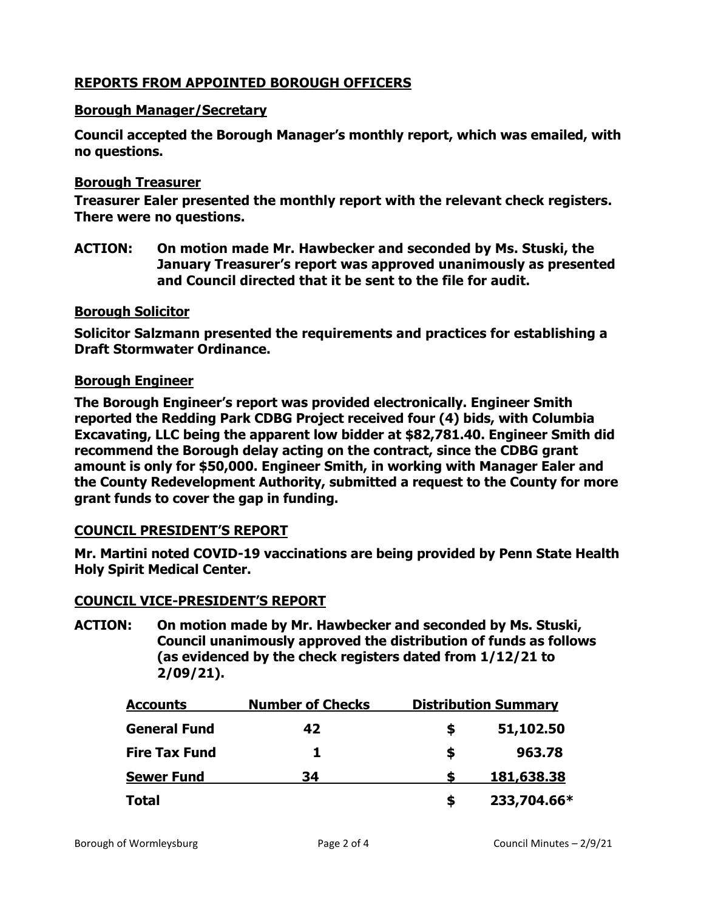# **REPORTS FROM APPOINTED BOROUGH OFFICERS**

### **Borough Manager/Secretary**

**Council accepted the Borough Manager's monthly report, which was emailed, with no questions.**

### **Borough Treasurer**

**Treasurer Ealer presented the monthly report with the relevant check registers. There were no questions.** 

**ACTION: On motion made Mr. Hawbecker and seconded by Ms. Stuski, the January Treasurer's report was approved unanimously as presented and Council directed that it be sent to the file for audit.** 

#### **Borough Solicitor**

**Solicitor Salzmann presented the requirements and practices for establishing a Draft Stormwater Ordinance.**

### **Borough Engineer**

**The Borough Engineer's report was provided electronically. Engineer Smith reported the Redding Park CDBG Project received four (4) bids, with Columbia Excavating, LLC being the apparent low bidder at \$82,781.40. Engineer Smith did recommend the Borough delay acting on the contract, since the CDBG grant amount is only for \$50,000. Engineer Smith, in working with Manager Ealer and the County Redevelopment Authority, submitted a request to the County for more grant funds to cover the gap in funding.** 

# **COUNCIL PRESIDENT'S REPORT**

**Mr. Martini noted COVID-19 vaccinations are being provided by Penn State Health Holy Spirit Medical Center.** 

#### **COUNCIL VICE-PRESIDENT'S REPORT**

**ACTION: On motion made by Mr. Hawbecker and seconded by Ms. Stuski, Council unanimously approved the distribution of funds as follows (as evidenced by the check registers dated from 1/12/21 to 2/09/21).**

| <b>Accounts</b>      | <b>Number of Checks</b><br>42 | <b>Distribution Summary</b> |             |
|----------------------|-------------------------------|-----------------------------|-------------|
| <b>General Fund</b>  |                               | S                           | 51,102.50   |
| <b>Fire Tax Fund</b> | Т.                            | S                           | 963.78      |
| <b>Sewer Fund</b>    | 34                            |                             | 181,638.38  |
| <b>Total</b>         |                               | S                           | 233,704.66* |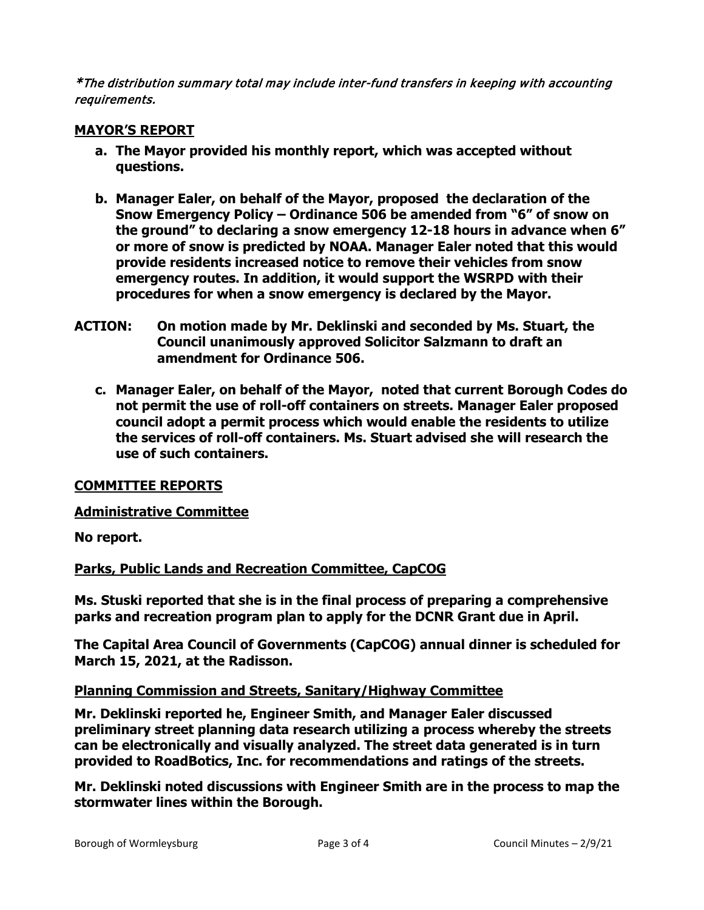\*The distribution summary total may include inter-fund transfers in keeping with accounting requirements.

# **MAYOR'S REPORT**

- **a. The Mayor provided his monthly report, which was accepted without questions.**
- **b. Manager Ealer, on behalf of the Mayor, proposed the declaration of the Snow Emergency Policy – Ordinance 506 be amended from "6" of snow on the ground" to declaring a snow emergency 12-18 hours in advance when 6" or more of snow is predicted by NOAA. Manager Ealer noted that this would provide residents increased notice to remove their vehicles from snow emergency routes. In addition, it would support the WSRPD with their procedures for when a snow emergency is declared by the Mayor.**
- **ACTION: On motion made by Mr. Deklinski and seconded by Ms. Stuart, the Council unanimously approved Solicitor Salzmann to draft an amendment for Ordinance 506.**
	- **c. Manager Ealer, on behalf of the Mayor, noted that current Borough Codes do not permit the use of roll-off containers on streets. Manager Ealer proposed council adopt a permit process which would enable the residents to utilize the services of roll-off containers. Ms. Stuart advised she will research the use of such containers.**

# **COMMITTEE REPORTS**

# **Administrative Committee**

**No report.**

# **Parks, Public Lands and Recreation Committee, CapCOG**

**Ms. Stuski reported that she is in the final process of preparing a comprehensive parks and recreation program plan to apply for the DCNR Grant due in April.**

**The Capital Area Council of Governments (CapCOG) annual dinner is scheduled for March 15, 2021, at the Radisson.** 

# **Planning Commission and Streets, Sanitary/Highway Committee**

**Mr. Deklinski reported he, Engineer Smith, and Manager Ealer discussed preliminary street planning data research utilizing a process whereby the streets can be electronically and visually analyzed. The street data generated is in turn provided to RoadBotics, Inc. for recommendations and ratings of the streets.**

**Mr. Deklinski noted discussions with Engineer Smith are in the process to map the stormwater lines within the Borough.**